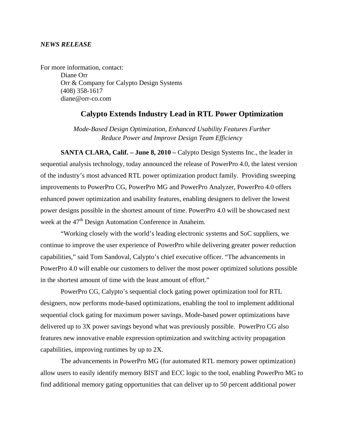#### *NEWS RELEASE*

For more information, contact: Diane Orr Orr & Company for Calypto Design Systems (408) 358-1617 diane@orr-co.com

# **Calypto Extends Industry Lead in RTL Power Optimization**

*Mode-Based Design Optimization, Enhanced Usability Features Further Reduce Power and Improve Design Team Efficiency* 

**SANTA CLARA, Calif. – June 8, 2010 –** Calypto Design Systems Inc., the leader in sequential analysis technology, today announced the release of PowerPro 4.0, the latest version of the industry's most advanced RTL power optimization product family. Providing sweeping improvements to PowerPro CG, PowerPro MG and PowerPro Analyzer, PowerPro 4.0 offers enhanced power optimization and usability features, enabling designers to deliver the lowest power designs possible in the shortest amount of time. PowerPro 4.0 will be showcased next week at the 47<sup>th</sup> Design Automation Conference in Anaheim.

"Working closely with the world's leading electronic systems and SoC suppliers, we continue to improve the user experience of PowerPro while delivering greater power reduction capabilities," said Tom Sandoval, Calypto's chief executive officer. "The advancements in PowerPro 4.0 will enable our customers to deliver the most power optimized solutions possible in the shortest amount of time with the least amount of effort."

 PowerPro CG, Calypto's sequential clock gating power optimization tool for RTL designers, now performs mode-based optimizations, enabling the tool to implement additional sequential clock gating for maximum power savings. Mode-based power optimizations have delivered up to 3X power savings beyond what was previously possible. PowerPro CG also features new innovative enable expression optimization and switching activity propagation capabilities, improving runtimes by up to 2X.

The advancements in PowerPro MG (for automated RTL memory power optimization) allow users to easily identify memory BIST and ECC logic to the tool, enabling PowerPro MG to find additional memory gating opportunities that can deliver up to 50 percent additional power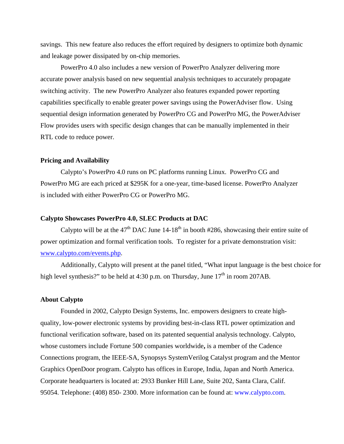savings. This new feature also reduces the effort required by designers to optimize both dynamic and leakage power dissipated by on-chip memories.

PowerPro 4.0 also includes a new version of PowerPro Analyzer delivering more accurate power analysis based on new sequential analysis techniques to accurately propagate switching activity. The new PowerPro Analyzer also features expanded power reporting capabilities specifically to enable greater power savings using the PowerAdviser flow. Using sequential design information generated by PowerPro CG and PowerPro MG, the PowerAdviser Flow provides users with specific design changes that can be manually implemented in their RTL code to reduce power.

### **Pricing and Availability**

Calypto's PowerPro 4.0 runs on PC platforms running Linux. PowerPro CG and PowerPro MG are each priced at \$295K for a one-year, time-based license. PowerPro Analyzer is included with either PowerPro CG or PowerPro MG.

### **Calypto Showcases PowerPro 4.0, SLEC Products at DAC**

Calypto will be at the  $47<sup>th</sup>$  DAC June 14-18<sup>th</sup> in booth #286, showcasing their entire suite of power optimization and formal verification tools. To register for a private demonstration visit: www.calypto.com/events.php.

Additionally, Calypto will present at the panel titled, "What input language is the best choice for high level synthesis?" to be held at 4:30 p.m. on Thursday, June  $17<sup>th</sup>$  in room 207AB.

# **About Calypto**

Founded in 2002, Calypto Design Systems, Inc. empowers designers to create highquality, low-power electronic systems by providing best-in-class RTL power optimization and functional verification software, based on its patented sequential analysis technology. Calypto, whose customers include Fortune 500 companies worldwide**,** is a member of the Cadence Connections program, the IEEE-SA, Synopsys SystemVerilog Catalyst program and the Mentor Graphics OpenDoor program. Calypto has offices in Europe, India, Japan and North America. Corporate headquarters is located at: 2933 Bunker Hill Lane, Suite 202, Santa Clara, Calif. 95054. Telephone: (408) 850- 2300. More information can be found at: www.calypto.com.